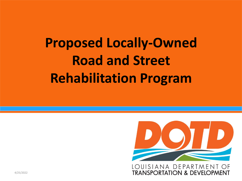

LOUISIANA DEPARTMENT OF **TRANSPORTATION & DEVELOPMENT**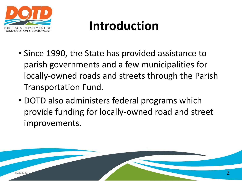

### **Introduction**

- Since 1990, the State has provided assistance to parish governments and a few municipalities for locally-owned roads and streets through the Parish Transportation Fund.
- DOTD also administers federal programs which provide funding for locally-owned road and street improvements.

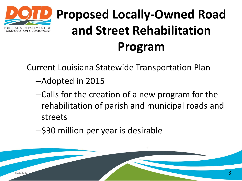

Current Louisiana Statewide Transportation Plan

- –Adopted in 2015
- –Calls for the creation of a new program for the rehabilitation of parish and municipal roads and streets
- –\$30 million per year is desirable

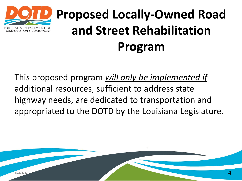

This proposed program *will only be implemented if*  additional resources, sufficient to address state highway needs, are dedicated to transportation and appropriated to the DOTD by the Louisiana Legislature.

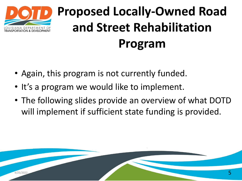

- Again, this program is not currently funded.
- It's a program we would like to implement.
- The following slides provide an overview of what DOTD will implement if sufficient state funding is provided.

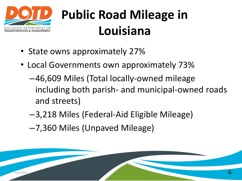

# **Public Road Mileage in Louisiana**

- State owns approximately 27%
- Local Governments own approximately 73%
	- –46,609 Miles (Total locally-owned mileage including both parish- and municipal-owned roads and streets)
	- –3,218 Miles (Federal-Aid Eligible Mileage)
	- –7,360 Miles (Unpaved Mileage)

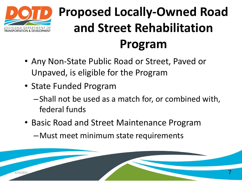

- Any Non-State Public Road or Street, Paved or Unpaved, is eligible for the Program
- State Funded Program
	- –Shall not be used as a match for, or combined with, federal funds
- Basic Road and Street Maintenance Program

–Must meet minimum state requirements

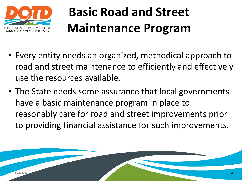

### **Basic Road and Street Maintenance Program**

- Every entity needs an organized, methodical approach to road and street maintenance to efficiently and effectively use the resources available.
- The State needs some assurance that local governments have a basic maintenance program in place to reasonably care for road and street improvements prior to providing financial assistance for such improvements.

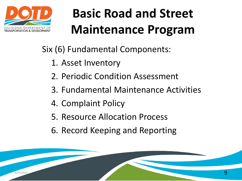

# **Basic Road and Street Maintenance Program**

Six (6) Fundamental Components:

- 1. Asset Inventory
- 2. Periodic Condition Assessment
- 3. Fundamental Maintenance Activities
- 4. Complaint Policy
- 5. Resource Allocation Process
- 6. Record Keeping and Reporting

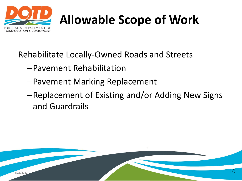

# **Allowable Scope of Work**

Rehabilitate Locally-Owned Roads and Streets

- –Pavement Rehabilitation
- –Pavement Marking Replacement
- –Replacement of Existing and/or Adding New Signs and Guardrails

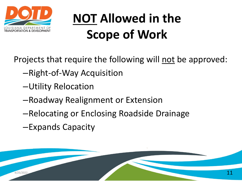

# **NOT Allowed in the Scope of Work**

Projects that require the following will not be approved:

- –Right-of-Way Acquisition
- –Utility Relocation
- –Roadway Realignment or Extension
- –Relocating or Enclosing Roadside Drainage
- –Expands Capacity

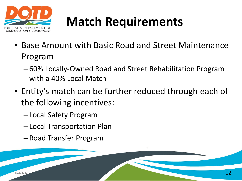

## **Match Requirements**

- Base Amount with Basic Road and Street Maintenance Program
	- 60% Locally-Owned Road and Street Rehabilitation Program with a 40% Local Match
- Entity's match can be further reduced through each of the following incentives:
	- Local Safety Program
	- Local Transportation Plan
	- Road Transfer Program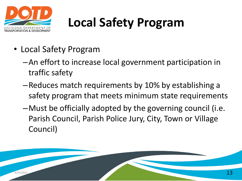

# **Local Safety Program**

- Local Safety Program
	- –An effort to increase local government participation in traffic safety
	- –Reduces match requirements by 10% by establishing a safety program that meets minimum state requirements
	- –Must be officially adopted by the governing council (i.e. Parish Council, Parish Police Jury, City, Town or Village Council)

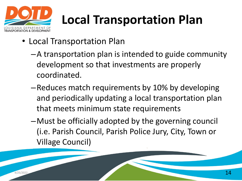

# **Local Transportation Plan**

- Local Transportation Plan
	- –A transportation plan is intended to guide community development so that investments are properly coordinated.
	- –Reduces match requirements by 10% by developing and periodically updating a local transportation plan that meets minimum state requirements
	- –Must be officially adopted by the governing council (i.e. Parish Council, Parish Police Jury, City, Town or Village Council)

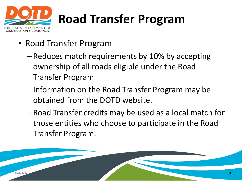

# **Road Transfer Program**

- Road Transfer Program
	- –Reduces match requirements by 10% by accepting ownership of all roads eligible under the Road Transfer Program
	- –Information on the Road Transfer Program may be obtained from the DOTD website.
	- –Road Transfer credits may be used as a local match for those entities who choose to participate in the Road Transfer Program.

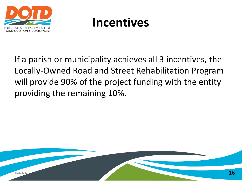

### **Incentives**

If a parish or municipality achieves all 3 incentives, the Locally-Owned Road and Street Rehabilitation Program will provide 90% of the project funding with the entity providing the remaining 10%.

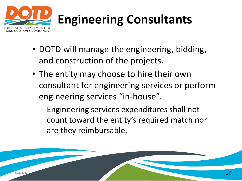

# **Engineering Consultants**

- DOTD will manage the engineering, bidding, and construction of the projects.
- The entity may choose to hire their own consultant for engineering services or perform engineering services "in-house".
	- –Engineering services expenditures shall not count toward the entity's required match nor are they reimbursable.

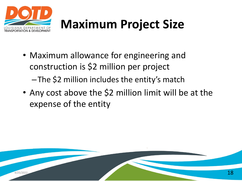

### **Maximum Project Size**

- Maximum allowance for engineering and construction is \$2 million per project –The \$2 million includes the entity's match
- Any cost above the \$2 million limit will be at the expense of the entity

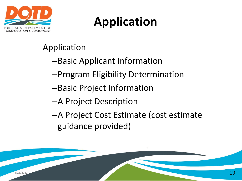

## **Application**

#### Application

- –Basic Applicant Information
- –Program Eligibility Determination
- –Basic Project Information
- –A Project Description
- –A Project Cost Estimate (cost estimate guidance provided)

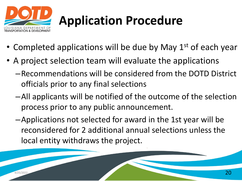

# **Application Procedure**

- Completed applications will be due by May  $1<sup>st</sup>$  of each year
- A project selection team will evaluate the applications
	- –Recommendations will be considered from the DOTD District officials prior to any final selections
	- –All applicants will be notified of the outcome of the selection process prior to any public announcement.
	- –Applications not selected for award in the 1st year will be reconsidered for 2 additional annual selections unless the local entity withdraws the project.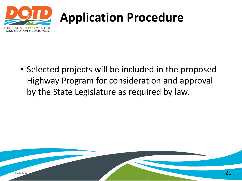

### **Application Procedure**

• Selected projects will be included in the proposed Highway Program for consideration and approval by the State Legislature as required by law.

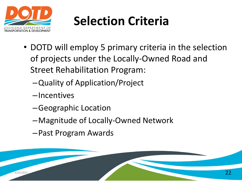

- DOTD will employ 5 primary criteria in the selection of projects under the Locally-Owned Road and Street Rehabilitation Program:
	- –Quality of Application/Project
	- –Incentives
	- –Geographic Location
	- –Magnitude of Locally-Owned Network
	- –Past Program Awards

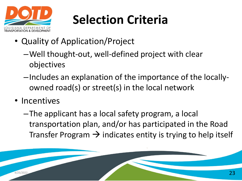

- Quality of Application/Project
	- –Well thought-out, well-defined project with clear objectives
	- –Includes an explanation of the importance of the locallyowned road(s) or street(s) in the local network
- Incentives
	- –The applicant has a local safety program, a local transportation plan, and/or has participated in the Road Transfer Program  $\rightarrow$  indicates entity is trying to help itself

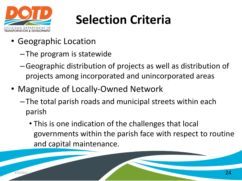

- Geographic Location
	- –The program is statewide
	- –Geographic distribution of projects as well as distribution of projects among incorporated and unincorporated areas
- Magnitude of Locally-Owned Network
	- –The total parish roads and municipal streets within each parish
		- This is one indication of the challenges that local governments within the parish face with respect to routine and capital maintenance.

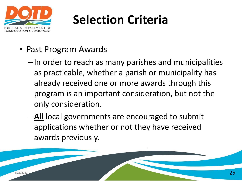

- Past Program Awards
	- –In order to reach as many parishes and municipalities as practicable, whether a parish or municipality has already received one or more awards through this program is an important consideration, but not the only consideration.
	- –**All** local governments are encouraged to submit applications whether or not they have received awards previously.

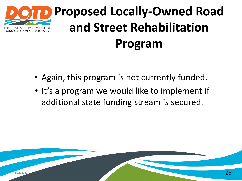

- Again, this program is not currently funded.
- It's a program we would like to implement if additional state funding stream is secured.